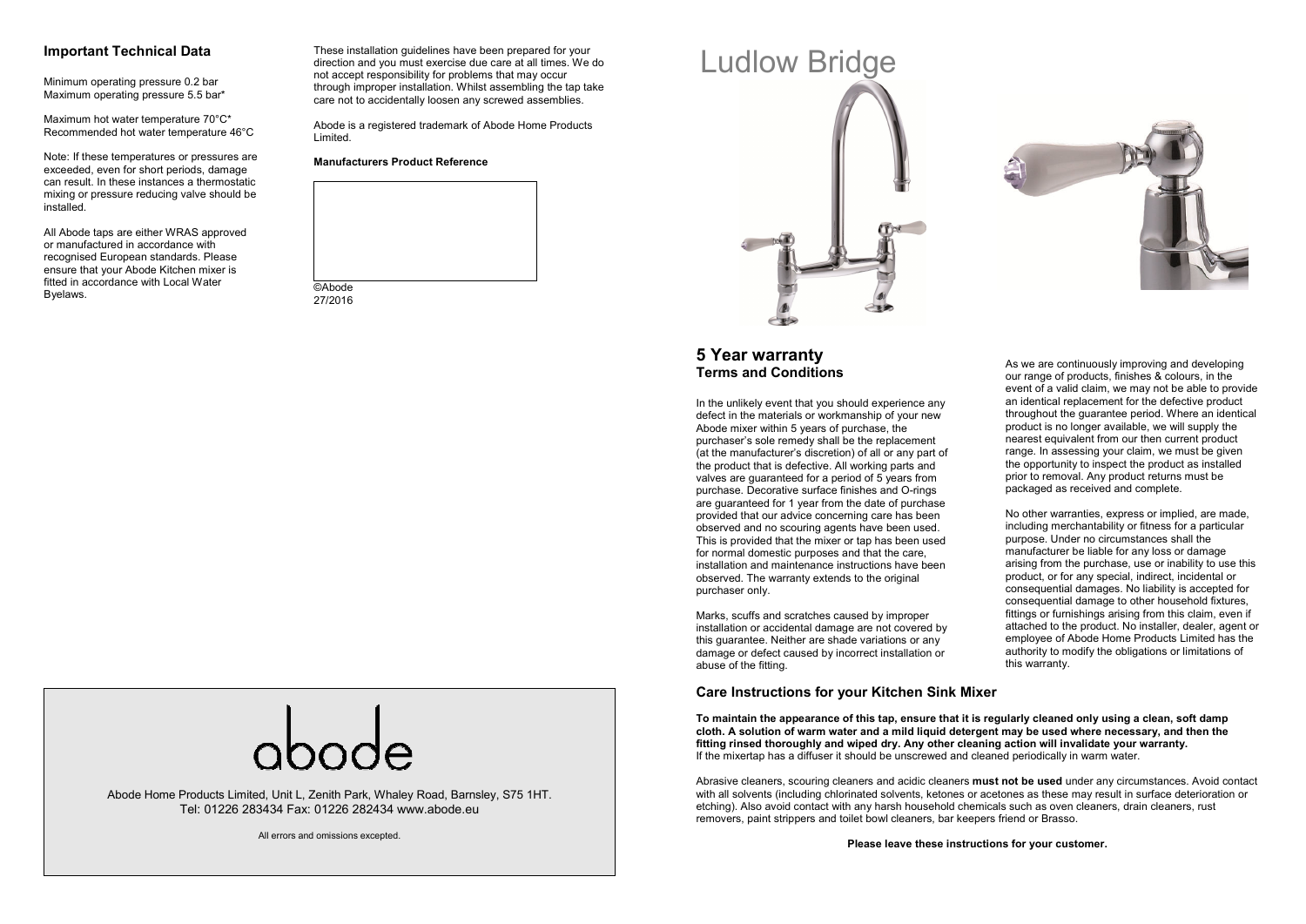### **Important Technical Data**

Minimum operating pressure 0.2 bar Maximum operating pressure 5.5 bar\*

Maximum hot water temperature 70°C\* Recommended hot water temperature 46°C

Note: If these temperatures or pressures are exceeded, even for short periods, damage can result. In these instances a thermostatic mixing or pressure reducing valve should be installed.

All Abode taps are either WRAS approved or manufactured in accordance with recognised European standards. Please ensure that your Abode Kitchen mixer is fitted in accordance with Local Water Byelaws.

These installation guidelines have been prepared for your direction and you must exercise due care at all times. We do not accept responsibility for problems that may occur through improper installation. Whilst assembling the tap take care not to accidentally loosen any screwed assemblies.

Abode is a registered trademark of Abode Home Products Limited.

#### **Manufacturers Product Reference**







As we are continuously improving and developing our range of products, finishes & colours, in the event of a valid claim, we may not be able to provide an identical replacement for the defective product throughout the guarantee period. Where an identicalproduct is no longer available, we will supply the nearest equivalent from our then current product range. In assessing your claim, we must be given the opportunity to inspect the product as installedprior to removal. Any product returns must be packaged as received and complete.

No other warranties, express or implied, are made, including merchantability or fitness for a particular purpose. Under no circumstances shall the manufacturer be liable for any loss or damage arising from the purchase, use or inability to use this product, or for any special, indirect, incidental or consequential damages. No liability is accepted for consequential damage to other household fixtures, fittings or furnishings arising from this claim, even if attached to the product. No installer, dealer, agent or employee of Abode Home Products Limited has the authority to modify the obligations or limitations of

## **5 Year warranty Terms and Conditions**

In the unlikely event that you should experience any defect in the materials or workmanship of your new Abode mixer within 5 years of purchase, the purchaser's sole remedy shall be the replacement (at the manufacturer's discretion) of all or any part of the product that is defective. All working parts and valves are guaranteed for a period of 5 years from purchase. Decorative surface finishes and O-rings are guaranteed for 1 year from the date of purchase provided that our advice concerning care has been observed and no scouring agents have been used. This is provided that the mixer or tap has been used for normal domestic purposes and that the care, installation and maintenance instructions have beenobserved. The warranty extends to the original purchaser only.

Marks, scuffs and scratches caused by improper installation or accidental damage are not covered by this guarantee. Neither are shade variations or any damage or defect caused by incorrect installation or abuse of the fitting.

#### **Care Instructions for your Kitchen Sink Mixer**

**To maintain the appearance of this tap, ensure that it is regularly cleaned only using a clean, soft damp cloth. A solution of warm water and a mild liquid detergent may be used where necessary, and then the fitting rinsed thoroughly and wiped dry. Any other cleaning action will invalidate your warranty.** If the mixertap has a diffuser it should be unscrewed and cleaned periodically in warm water.

Abrasive cleaners, scouring cleaners and acidic cleaners **must not be used** under any circumstances. Avoid contact with all solvents (including chlorinated solvents, ketones or acetones as these may result in surface deterioration or etching). Also avoid contact with any harsh household chemicals such as oven cleaners, drain cleaners, rust removers, paint strippers and toilet bowl cleaners, bar keepers friend or Brasso.

this warranty.

**Please leave these instructions for your customer.** 

Abode Home Products Limited, Unit L, Zenith Park, Whaley Road, Barnsley, S75 1HT. Tel: 01226 283434 Fax: 01226 282434 www.abode.eu

All errors and omissions excepted.